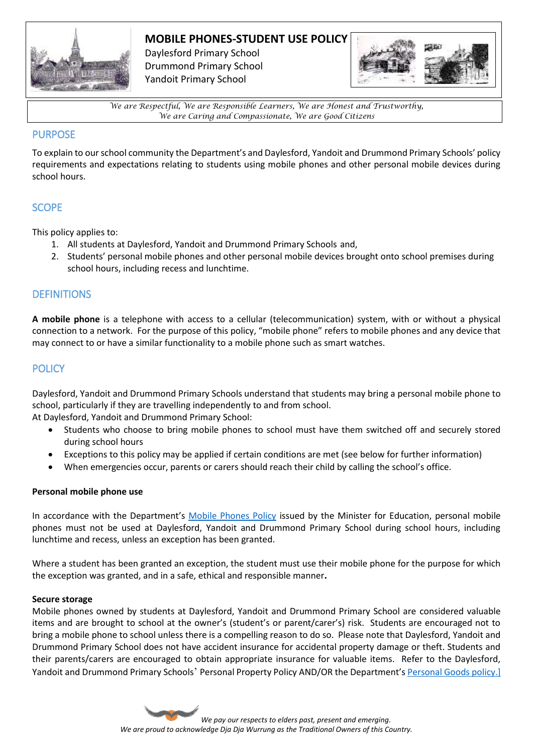

# **MOBILE PHONES-STUDENT USE POLICY**

Daylesford Primary School Drummond Primary School Yandoit Primary School



*We are Respectful, We are Responsible Learners, We are Honest and Trustworthy, We are Caring and Compassionate, We are Good Citizens*

#### PURPOSE

To explain to our school community the Department's and Daylesford, Yandoit and Drummond Primary Schools' policy requirements and expectations relating to students using mobile phones and other personal mobile devices during school hours.

## **SCOPE**

This policy applies to:

- 1. All students at Daylesford, Yandoit and Drummond Primary Schools and,
- 2. Students' personal mobile phones and other personal mobile devices brought onto school premises during school hours, including recess and lunchtime.

### **DEFINITIONS**

**A mobile phone** is a telephone with access to a cellular (telecommunication) system, with or without a physical connection to a network. For the purpose of this policy, "mobile phone" refers to mobile phones and any device that may connect to or have a similar functionality to a mobile phone such as smart watches.

## **POLICY**

Daylesford, Yandoit and Drummond Primary Schools understand that students may bring a personal mobile phone to school, particularly if they are travelling independently to and from school.

At Daylesford, Yandoit and Drummond Primary School:

- Students who choose to bring mobile phones to school must have them switched off and securely stored during school hours
- Exceptions to this policy may be applied if certain conditions are met (see below for further information)
- When emergencies occur, parents or carers should reach their child by calling the school's office.

#### **Personal mobile phone use**

In accordance with the Department's [Mobile Phones Policy](https://www.education.vic.gov.au/school/principals/spag/safety/Pages/mobilephones.aspx) issued by the Minister for Education, personal mobile phones must not be used at Daylesford, Yandoit and Drummond Primary School during school hours, including lunchtime and recess, unless an exception has been granted.

Where a student has been granted an exception, the student must use their mobile phone for the purpose for which the exception was granted, and in a safe, ethical and responsible manner**.**

#### **Secure storage**

Mobile phones owned by students at Daylesford, Yandoit and Drummond Primary School are considered valuable items and are brought to school at the owner's (student's or parent/carer's) risk. Students are encouraged not to bring a mobile phone to school unless there is a compelling reason to do so. Please note that Daylesford, Yandoit and Drummond Primary School does not have accident insurance for accidental property damage or theft. Students and their parents/carers are encouraged to obtain appropriate insurance for valuable items. Refer to the Daylesford, Yandoit and Drummond Primary Schools' Personal Property Policy AND/OR the Department's [Personal Goods](https://www.education.vic.gov.au/school/principals/spag/governance/pages/personalgoods.aspx) policy.]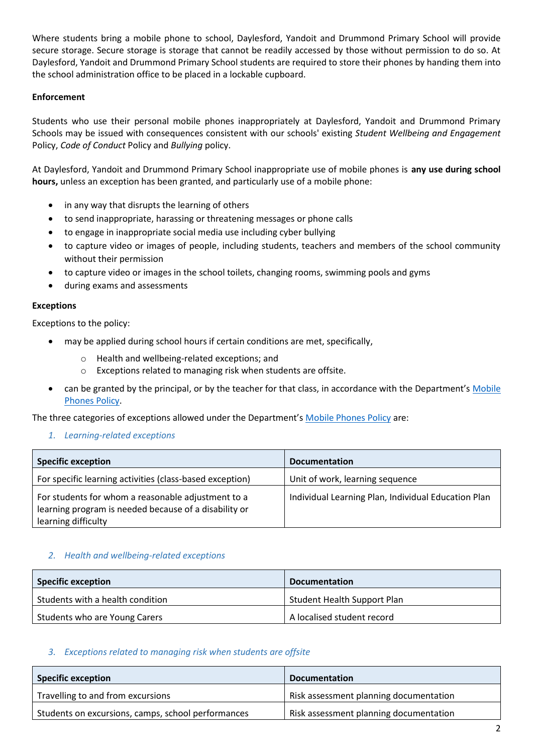Where students bring a mobile phone to school, Daylesford, Yandoit and Drummond Primary School will provide secure storage. Secure storage is storage that cannot be readily accessed by those without permission to do so. At Daylesford, Yandoit and Drummond Primary School students are required to store their phones by handing them into the school administration office to be placed in a lockable cupboard.

#### **Enforcement**

Students who use their personal mobile phones inappropriately at Daylesford, Yandoit and Drummond Primary Schools may be issued with consequences consistent with our schools' existing *Student Wellbeing and Engagement*  Policy, *Code of Conduct* Policy and *Bullying* policy.

At Daylesford, Yandoit and Drummond Primary School inappropriate use of mobile phones is **any use during school hours,** unless an exception has been granted, and particularly use of a mobile phone:

- in any way that disrupts the learning of others
- to send inappropriate, harassing or threatening messages or phone calls
- to engage in inappropriate social media use including cyber bullying
- to capture video or images of people, including students, teachers and members of the school community without their permission
- to capture video or images in the school toilets, changing rooms, swimming pools and gyms
- during exams and assessments

#### **Exceptions**

Exceptions to the policy:

- may be applied during school hours if certain conditions are met, specifically,
	- o Health and wellbeing-related exceptions; and
	- o Exceptions related to managing risk when students are offsite.
- can be granted by the principal, or by the teacher for that class, in accordance with the Department's Mobile [Phones Policy.](https://www.education.vic.gov.au/school/principals/spag/safety/Pages/mobilephones.aspx)

The three categories of exceptions allowed under the Department's [Mobile Phones Policy](https://www.education.vic.gov.au/school/principals/spag/safety/Pages/mobilephones.aspx) are:

*1. Learning-related exceptions*

| <b>Specific exception</b>                                                                                                          | <b>Documentation</b>                                |
|------------------------------------------------------------------------------------------------------------------------------------|-----------------------------------------------------|
| For specific learning activities (class-based exception)                                                                           | Unit of work, learning sequence                     |
| For students for whom a reasonable adjustment to a<br>learning program is needed because of a disability or<br>learning difficulty | Individual Learning Plan, Individual Education Plan |

#### *2. Health and wellbeing-related exceptions*

| <b>Specific exception</b>        | <b>Documentation</b>               |
|----------------------------------|------------------------------------|
| Students with a health condition | <b>Student Health Support Plan</b> |
| Students who are Young Carers    | A localised student record         |

#### *3. Exceptions related to managing risk when students are offsite*

| <b>Specific exception</b>                          | <b>Documentation</b>                   |
|----------------------------------------------------|----------------------------------------|
| Travelling to and from excursions                  | Risk assessment planning documentation |
| Students on excursions, camps, school performances | Risk assessment planning documentation |